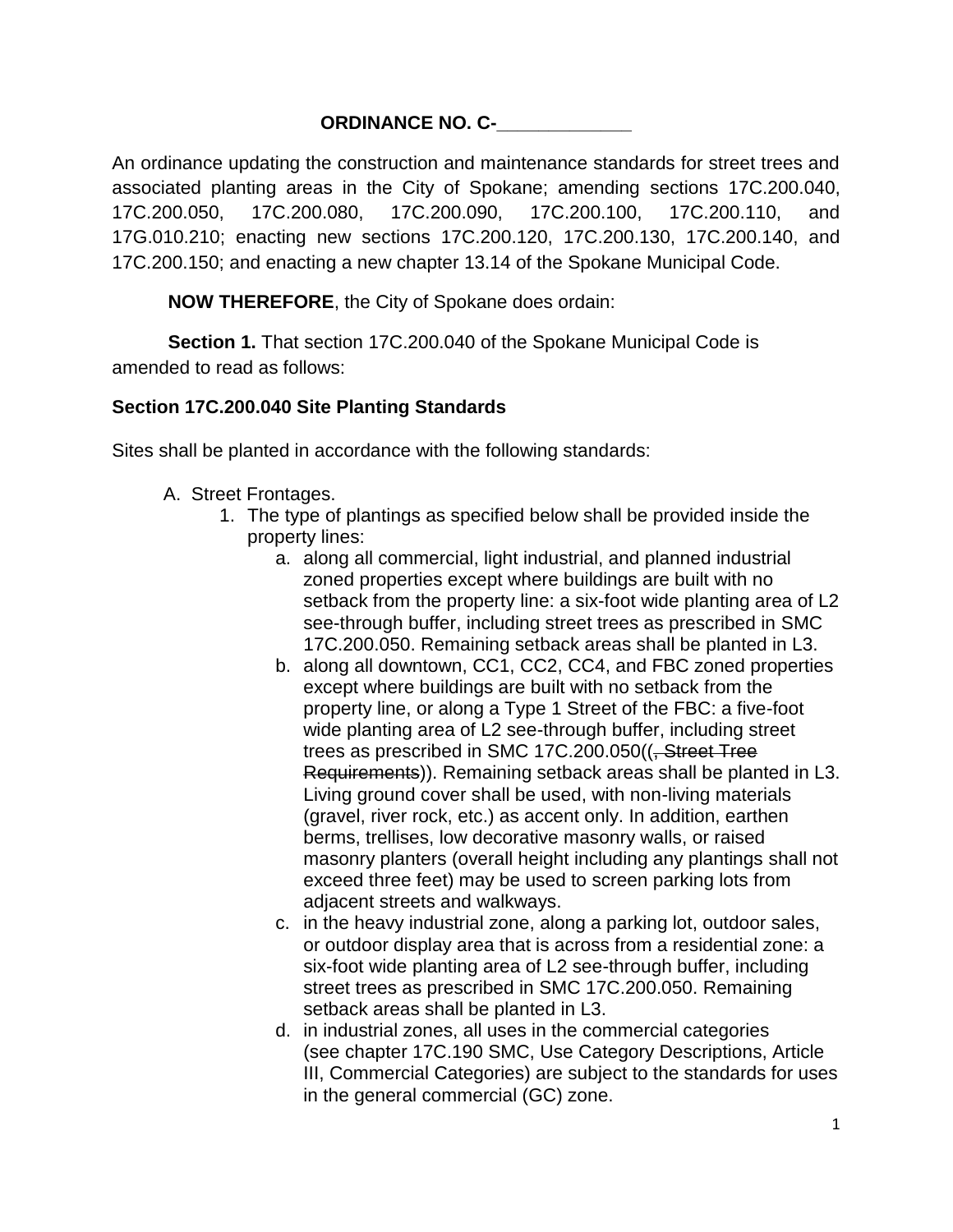#### **ORDINANCE NO. C-**

An ordinance updating the construction and maintenance standards for street trees and associated planting areas in the City of Spokane; amending sections 17C.200.040, 17C.200.050, 17C.200.080, 17C.200.090, 17C.200.100, 17C.200.110, and 17G.010.210; enacting new sections 17C.200.120, 17C.200.130, 17C.200.140, and 17C.200.150; and enacting a new chapter 13.14 of the Spokane Municipal Code.

**NOW THEREFORE**, the City of Spokane does ordain:

**Section 1.** That section 17C.200.040 of the Spokane Municipal Code is amended to read as follows:

#### **Section 17C.200.040 Site Planting Standards**

Sites shall be planted in accordance with the following standards:

- A. Street Frontages.
	- 1. The type of plantings as specified below shall be provided inside the property lines:
		- a. along all commercial, light industrial, and planned industrial zoned properties except where buildings are built with no setback from the property line: a six-foot wide planting area of L2 see-through buffer, including street trees as prescribed in SMC 17C.200.050. Remaining setback areas shall be planted in L3.
		- b. along all downtown, CC1, CC2, CC4, and FBC zoned properties except where buildings are built with no setback from the property line, or along a Type 1 Street of the FBC: a five-foot wide planting area of L2 see-through buffer, including street trees as prescribed in SMC 17C.200.050((, Street Tree Requirements)). Remaining setback areas shall be planted in L3. Living ground cover shall be used, with non-living materials (gravel, river rock, etc.) as accent only. In addition, earthen berms, trellises, low decorative masonry walls, or raised masonry planters (overall height including any plantings shall not exceed three feet) may be used to screen parking lots from adjacent streets and walkways.
		- c. in the heavy industrial zone, along a parking lot, outdoor sales, or outdoor display area that is across from a residential zone: a six-foot wide planting area of L2 see-through buffer, including street trees as prescribed in SMC 17C.200.050. Remaining setback areas shall be planted in L3.
		- d. in industrial zones, all uses in the commercial categories (see chapter 17C.190 SMC, Use Category Descriptions, Article III, Commercial Categories) are subject to the standards for uses in the general commercial (GC) zone.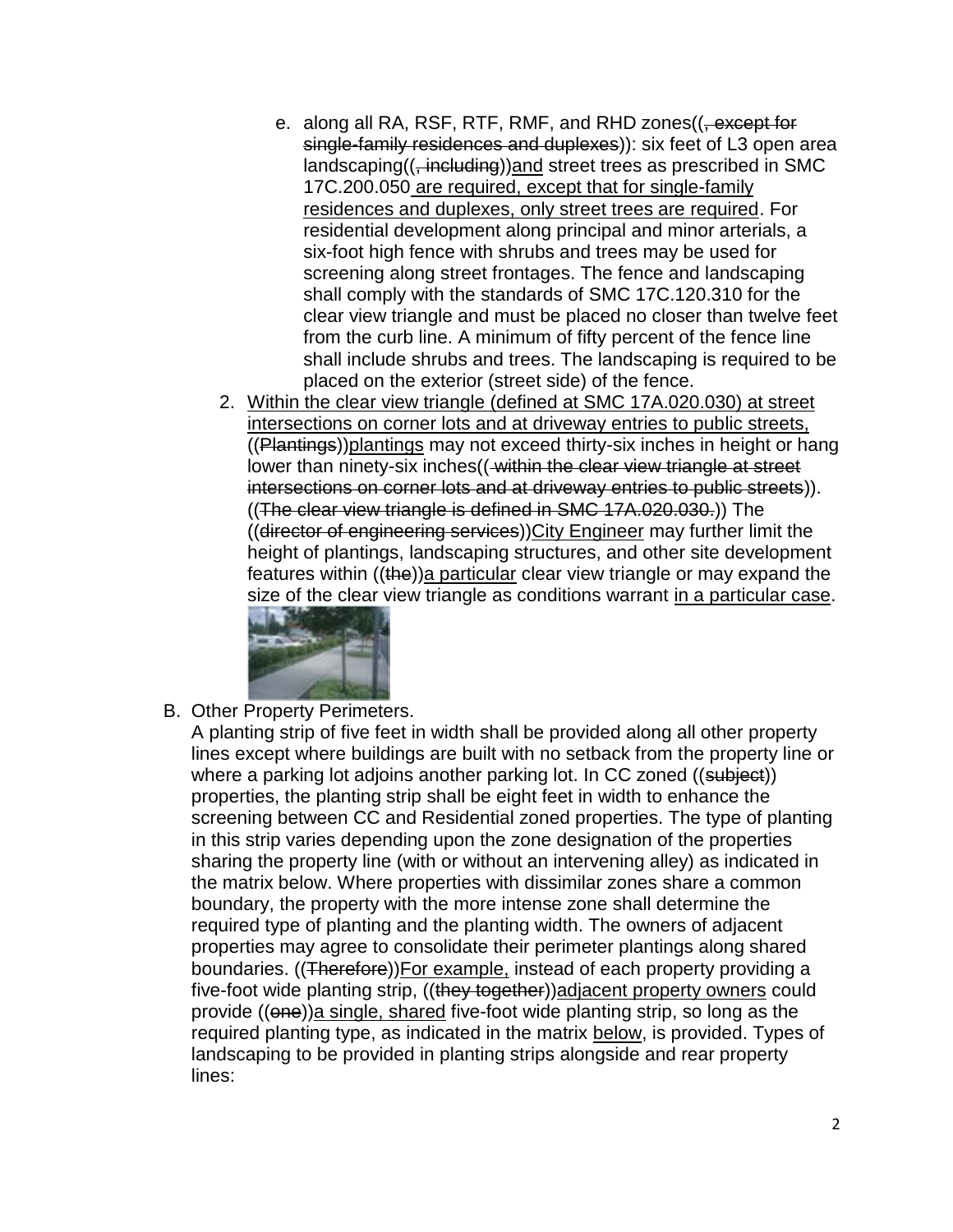- e. along all RA, RSF, RTF, RMF, and RHD zones((, except for single-family residences and duplexes)): six feet of L3 open area landscaping((, including))and street trees as prescribed in SMC 17C.200.050 are required, except that for single-family residences and duplexes, only street trees are required. For residential development along principal and minor arterials, a six-foot high fence with shrubs and trees may be used for screening along street frontages. The fence and landscaping shall comply with the standards of SMC 17C.120.310 for the clear view triangle and must be placed no closer than twelve feet from the curb line. A minimum of fifty percent of the fence line shall include shrubs and trees. The landscaping is required to be placed on the exterior (street side) of the fence.
- 2. Within the clear view triangle (defined at SMC 17A.020.030) at street intersections on corner lots and at driveway entries to public streets, ((Plantings))plantings may not exceed thirty-six inches in height or hang lower than ninety-six inches ((-within the clear view triangle at street intersections on corner lots and at driveway entries to public streets)). ((The clear view triangle is defined in SMC 17A.020.030.)) The ((director of engineering services))City Engineer may further limit the height of plantings, landscaping structures, and other site development features within ((the))a particular clear view triangle or may expand the [size of the clear v](file:///C:/Users/jfaught/AppData/Roaming/Adobe/Dreamweaver%20CS6/en_US/OfficeImageTemp/17C-200.040_A2.jpg)iew triangle as conditions warrant in a particular case.



B. Other Property Perimeters.

A planting strip of five feet in width shall be provided along all other property lines except where buildings are built with no setback from the property line or where a parking lot adjoins another parking lot. In CC zoned ((subject)) properties, the planting strip shall be eight feet in width to enhance the screening between CC and Residential zoned properties. The type of planting in this strip varies depending upon the zone designation of the properties sharing the property line (with or without an intervening alley) as indicated in the matrix below. Where properties with dissimilar zones share a common boundary, the property with the more intense zone shall determine the required type of planting and the planting width. The owners of adjacent properties may agree to consolidate their perimeter plantings along shared boundaries. ((Therefore))For example, instead of each property providing a five-foot wide planting strip, ((they together))adjacent property owners could provide ((one))a single, shared five-foot wide planting strip, so long as the required planting type, as indicated in the matrix below, is provided. Types of landscaping to be provided in planting strips alongside and rear property lines: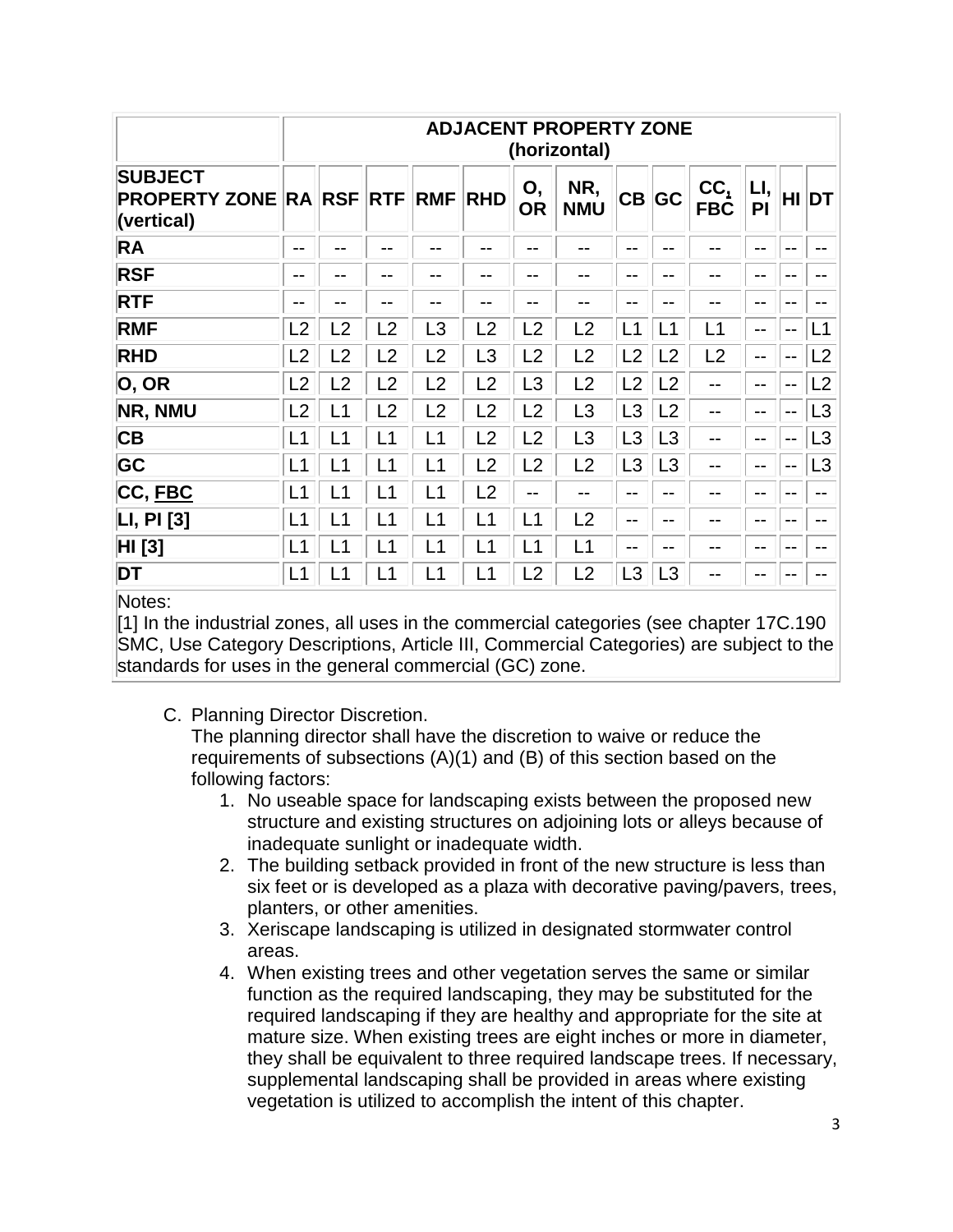| <b>PROPERTY ZONE RA RSF</b> |                |                |                |                 |                   |                |                | <b>ADJACENT PROPERTY ZONE</b><br>(horizontal) |           |                          |                                  |  |  |  |  |  |  |  |
|-----------------------------|----------------|----------------|----------------|-----------------|-------------------|----------------|----------------|-----------------------------------------------|-----------|--------------------------|----------------------------------|--|--|--|--|--|--|--|
|                             | <b>RTF</b>     | <b>RMF</b>     | <b>RHD</b>     | Ο,<br><b>OR</b> | NR,<br><b>NMU</b> |                | CB GC          | CC,<br><b>FBC</b>                             | LI,<br>PI |                          | HI DT                            |  |  |  |  |  |  |  |
| --                          | --             | --             | --             | $- -$           | --                | $- -$          | $- -$          | --                                            | --        | $- -$                    | $- -$                            |  |  |  |  |  |  |  |
| --                          | --             | --             | --             | --              | --                | --             | --             | --                                            | --        | --                       | $- -$                            |  |  |  |  |  |  |  |
| --                          | --             |                | --             | --              | --                | $- -$          | --             | --                                            | --        | --                       | $- -$                            |  |  |  |  |  |  |  |
| $\overline{2}$              | $\overline{2}$ | .3             | $\overline{2}$ | $\overline{2}$  | $\overline{2}$    | $-1$           | .1             | $-1$                                          | --        | $\mathbf{u}$             | L1                               |  |  |  |  |  |  |  |
| $\overline{2}$              | L <sub>2</sub> | L2             | L3             | L2              | L2                | $\overline{2}$ | L2             | L <sub>2</sub>                                | --        | $- -$                    | L <sub>2</sub>                   |  |  |  |  |  |  |  |
| $\overline{2}$              | L2             | $\overline{2}$ | $\overline{2}$ | L <sub>3</sub>  | L2                | $-2$           | L2             | --                                            | --        | --                       | L <sub>2</sub>                   |  |  |  |  |  |  |  |
| $\overline{\phantom{0}}$ 1  | L2             | $\overline{2}$ | L <sub>2</sub> | L2              | L <sub>3</sub>    | L3             | L <sub>2</sub> | --                                            | --        | $\overline{\phantom{a}}$ | L3                               |  |  |  |  |  |  |  |
| - 1                         | L1             | L1             | L <sub>2</sub> | L2              | L3                | L3             | L3             | $- -$                                         | --        | $- -$                    | L3                               |  |  |  |  |  |  |  |
| _1                          | L1             | L1             | L <sub>2</sub> | L2              | L2                | L3             | L3             | --                                            | --        | --                       | L3                               |  |  |  |  |  |  |  |
| 1                           | L1             | L1             | L <sub>2</sub> | --              | --                | --             | $- -$          | --                                            | --        | --                       | $- -$                            |  |  |  |  |  |  |  |
| L1                          | L1             | L1             | L1             | L <sub>1</sub>  | L <sub>2</sub>    | --             | $- -$          | --                                            | --        | --                       | $- -$                            |  |  |  |  |  |  |  |
| -1                          | L1             |                |                |                 |                   | --             | --             | --                                            | --        | --                       | $- -$                            |  |  |  |  |  |  |  |
|                             |                |                |                |                 |                   |                |                |                                               |           |                          |                                  |  |  |  |  |  |  |  |
|                             |                |                |                |                 |                   |                |                |                                               |           |                          | L1<br>L1<br>L <sub>1</sub><br>L1 |  |  |  |  |  |  |  |

Notes:

[1] In the industrial zones, all uses in the commercial categories (see chapter 17C.190 SMC, Use Category Descriptions, Article III, Commercial Categories) are subject to the standards for uses in the general commercial (GC) zone.

C. Planning Director Discretion.

The planning director shall have the discretion to waive or reduce the requirements of subsections (A)(1) and (B) of this section based on the following factors:

- 1. No useable space for landscaping exists between the proposed new structure and existing structures on adjoining lots or alleys because of inadequate sunlight or inadequate width.
- 2. The building setback provided in front of the new structure is less than six feet or is developed as a plaza with decorative paving/pavers, trees, planters, or other amenities.
- 3. Xeriscape landscaping is utilized in designated stormwater control areas.
- 4. When existing trees and other vegetation serves the same or similar function as the required landscaping, they may be substituted for the required landscaping if they are healthy and appropriate for the site at mature size. When existing trees are eight inches or more in diameter, they shall be equivalent to three required landscape trees. If necessary, supplemental landscaping shall be provided in areas where existing vegetation is utilized to accomplish the intent of this chapter.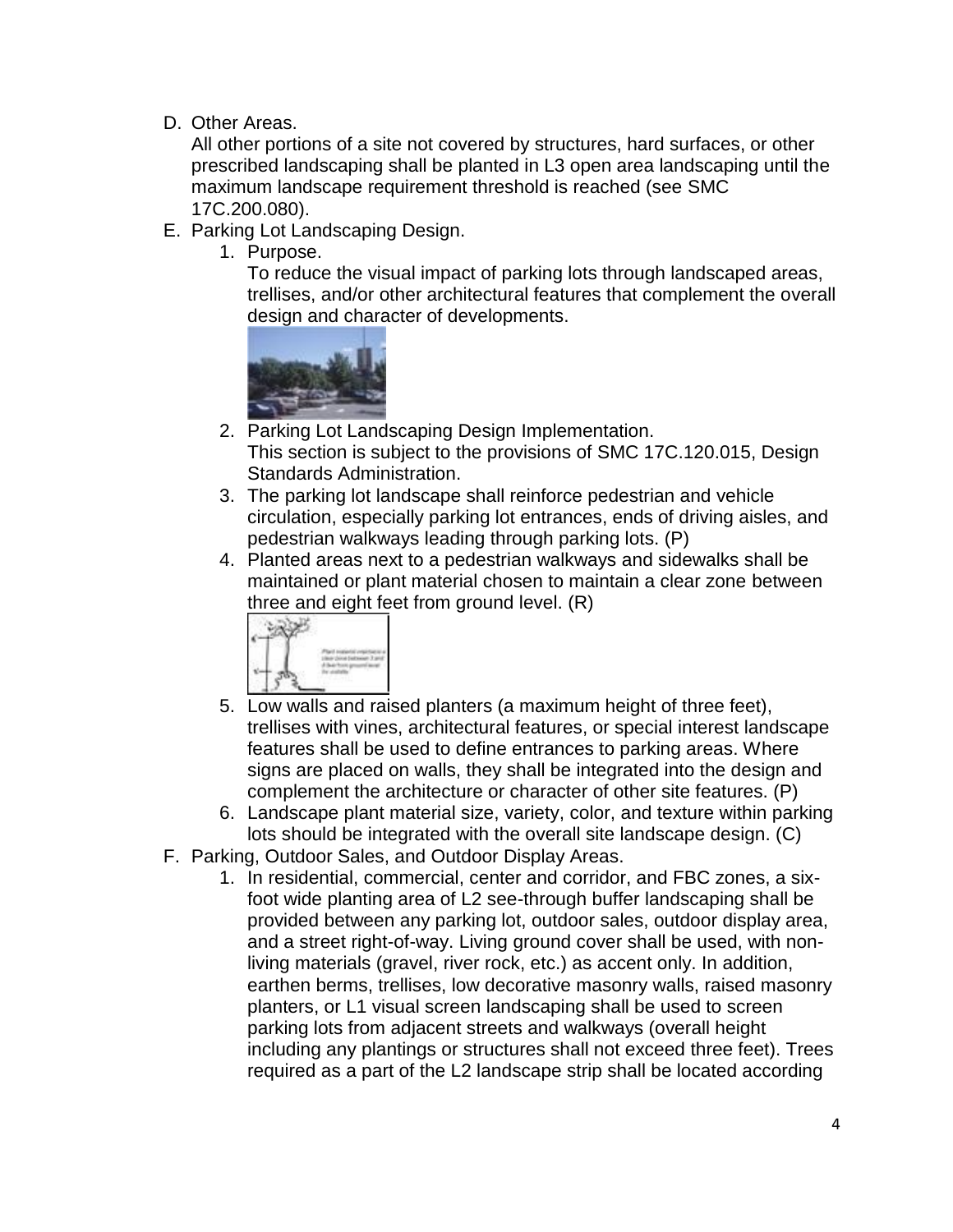D. Other Areas.

All other portions of a site not covered by structures, hard surfaces, or other prescribed landscaping shall be planted in L3 open area landscaping until the maximum landscape requirement threshold is reached (see SMC 17C.200.080).

- E. Parking Lot Landscaping Design.
	- 1. Purpose.

To reduce the visual impact of parking lots through landscaped areas, trellises, and/or other architectural features that complement the overall design and character of developments.



- 2. Parking Lot Landscaping Design Implementation. This section is subject to the provisions of SMC 17C.120.015, Design Standards Administration.
- 3. The parking lot landscape shall reinforce pedestrian and vehicle circulation, especially parking lot entrances, ends of driving aisles, and pedestrian walkways leading through parking lots. (P)
- 4. Planted areas next to a pedestrian walkways and sidewalks shall be maintained or plant material chosen to maintain a clear zone between three and eight feet from ground level. (R)



- 5. Low walls and raised planters (a maximum height of three feet), trellises with vines, architectural features, or special interest landscape features shall be used to define entrances to parking areas. Where signs are placed on walls, they shall be integrated into the design and complement the architecture or character of other site features. (P)
- 6. Landscape plant material size, variety, color, and texture within parking lots should be integrated with the overall site landscape design. (C)
- F. Parking, Outdoor Sales, and Outdoor Display Areas.
	- 1. In residential, commercial, center and corridor, and FBC zones, a sixfoot wide planting area of L2 see-through buffer landscaping shall be provided between any parking lot, outdoor sales, outdoor display area, and a street right-of-way. Living ground cover shall be used, with nonliving materials (gravel, river rock, etc.) as accent only. In addition, earthen berms, trellises, low decorative masonry walls, raised masonry planters, or L1 visual screen landscaping shall be used to screen parking lots from adjacent streets and walkways (overall height including any plantings or structures shall not exceed three feet). Trees required as a part of the L2 landscape strip shall be located according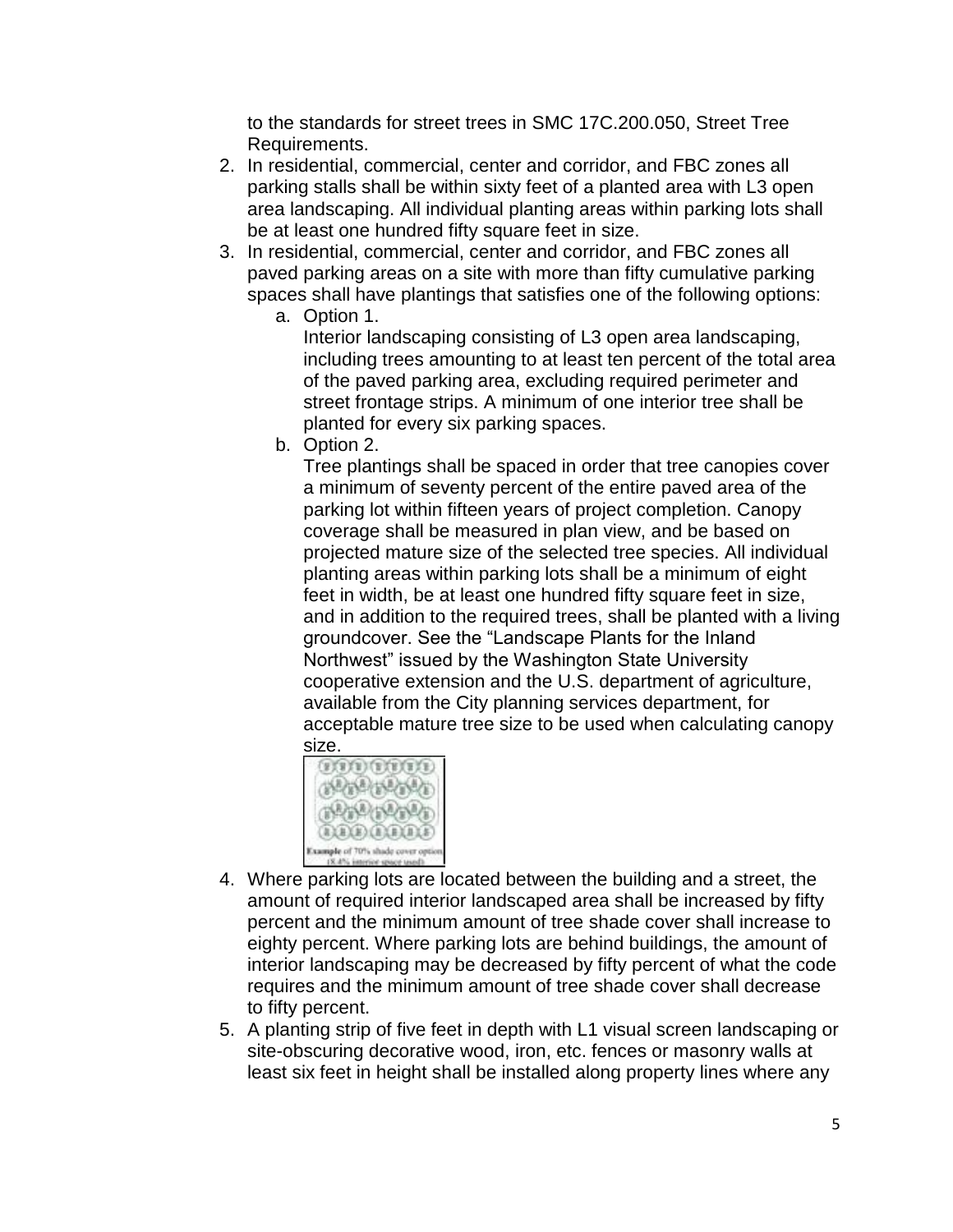to the standards for street trees in SMC 17C.200.050, Street Tree Requirements.

- 2. In residential, commercial, center and corridor, and FBC zones all parking stalls shall be within sixty feet of a planted area with L3 open area landscaping. All individual planting areas within parking lots shall be at least one hundred fifty square feet in size.
- 3. In residential, commercial, center and corridor, and FBC zones all paved parking areas on a site with more than fifty cumulative parking spaces shall have plantings that satisfies one of the following options:
	- a. Option 1.

Interior landscaping consisting of L3 open area landscaping, including trees amounting to at least ten percent of the total area of the paved parking area, excluding required perimeter and street frontage strips. A minimum of one interior tree shall be planted for every six parking spaces.

b. Option 2.

Tree plantings shall be spaced in order that tree canopies cover a minimum of seventy percent of the entire paved area of the parking lot within fifteen years of project completion. Canopy coverage shall be measured in plan view, and be based on projected mature size of the selected tree species. All individual planting areas within parking lots shall be a minimum of eight feet in width, be at least one hundred fifty square feet in size, and in addition to the required trees, shall be planted with a living groundcover. See the "Landscape Plants for the Inland Northwest" issued by the Washington State University cooperative extension and the U.S. department of agriculture, available from the City planning services department, for acceptable mature tree size to be used when calculating canopy size.



- 4. Where parking lots are located between the building and a street, the amount of required interior landscaped area shall be increased by fifty percent and the minimum amount of tree shade cover shall increase to eighty percent. Where parking lots are behind buildings, the amount of interior landscaping may be decreased by fifty percent of what the code requires and the minimum amount of tree shade cover shall decrease to fifty percent.
- 5. A planting strip of five feet in depth with L1 visual screen landscaping or site-obscuring decorative wood, iron, etc. fences or masonry walls at least six feet in height shall be installed along property lines where any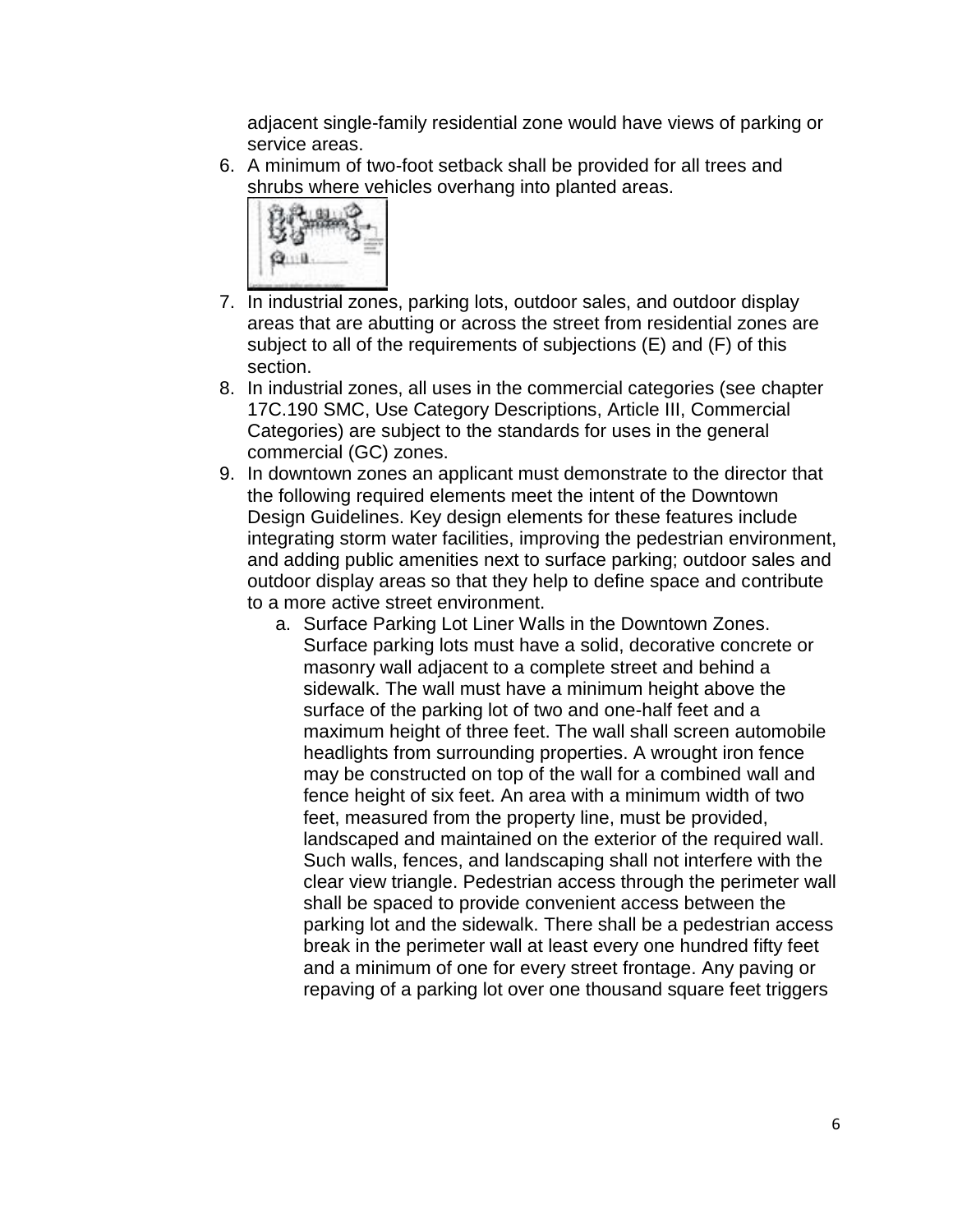adjacent single-family residential zone would have views of parking or service areas.

6. A minimum of two-foot setback shall be provided for all trees and shrubs where vehicles overhang into planted areas.



- 7. In industrial zones, parking lots, outdoor sales, and outdoor display areas that are abutting or across the street from residential zones are subject to all of the requirements of subjections (E) and (F) of this section.
- 8. In industrial zones, all uses in the commercial categories (see chapter 17C.190 SMC, Use Category Descriptions, Article III, Commercial Categories) are subject to the standards for uses in the general commercial (GC) zones.
- 9. In downtown zones an applicant must demonstrate to the director that the following required elements meet the intent of the Downtown Design Guidelines. Key design elements for these features include integrating storm water facilities, improving the pedestrian environment, and adding public amenities next to surface parking; outdoor sales and outdoor display areas so that they help to define space and contribute to a more active street environment.
	- a. Surface Parking Lot Liner Walls in the Downtown Zones. Surface parking lots must have a solid, decorative concrete or masonry wall adjacent to a complete street and behind a sidewalk. The wall must have a minimum height above the surface of the parking lot of two and one-half feet and a maximum height of three feet. The wall shall screen automobile headlights from surrounding properties. A wrought iron fence may be constructed on top of the wall for a combined wall and fence height of six feet. An area with a minimum width of two feet, measured from the property line, must be provided, landscaped and maintained on the exterior of the required wall. Such walls, fences, and landscaping shall not interfere with the clear view triangle. Pedestrian access through the perimeter wall shall be spaced to provide convenient access between the parking lot and the sidewalk. There shall be a pedestrian access break in the perimeter wall at least every one hundred fifty feet and a minimum of one for every street frontage. Any paving or repaving of a parking lot over one thousand square feet triggers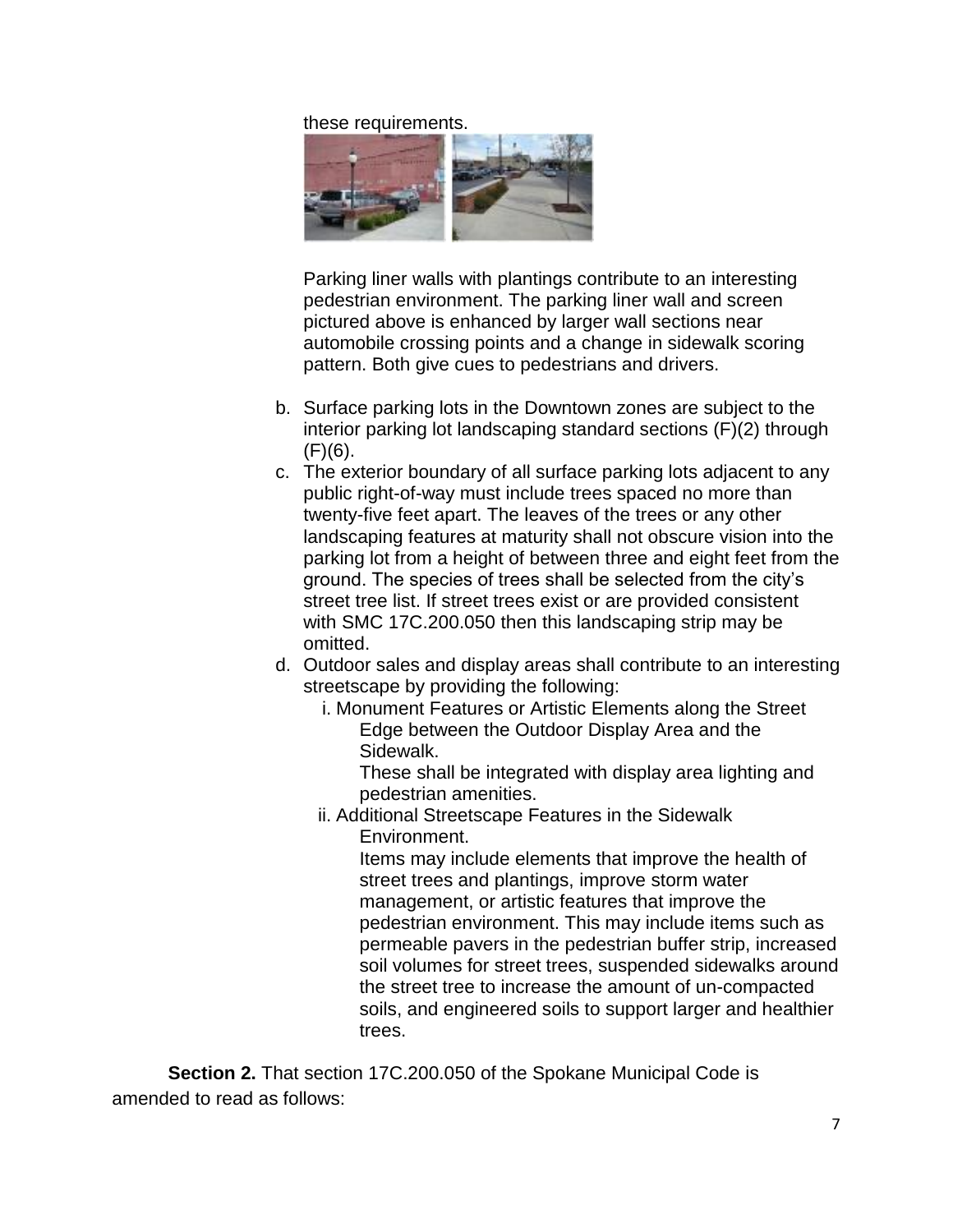these requirements.



Parking liner walls with plantings contribute to an interesting pedestrian environment. The parking liner wall and screen pictured above is enhanced by larger wall sections near automobile crossing points and a change in sidewalk scoring pattern. Both give cues to pedestrians and drivers.

- b. Surface parking lots in the Downtown zones are subject to the interior parking lot landscaping standard sections (F)(2) through (F)(6).
- c. The exterior boundary of all surface parking lots adjacent to any public right-of-way must include trees spaced no more than twenty-five feet apart. The leaves of the trees or any other landscaping features at maturity shall not obscure vision into the parking lot from a height of between three and eight feet from the ground. The species of trees shall be selected from the city's street tree list. If street trees exist or are provided consistent with SMC 17C.200.050 then this landscaping strip may be omitted.
- d. Outdoor sales and display areas shall contribute to an interesting streetscape by providing the following:
	- i. Monument Features or Artistic Elements along the Street Edge between the Outdoor Display Area and the Sidewalk.

These shall be integrated with display area lighting and pedestrian amenities.

ii. Additional Streetscape Features in the Sidewalk Environment.

Items may include elements that improve the health of street trees and plantings, improve storm water management, or artistic features that improve the pedestrian environment. This may include items such as permeable pavers in the pedestrian buffer strip, increased soil volumes for street trees, suspended sidewalks around the street tree to increase the amount of un-compacted soils, and engineered soils to support larger and healthier trees.

**Section 2.** That section 17C.200.050 of the Spokane Municipal Code is amended to read as follows: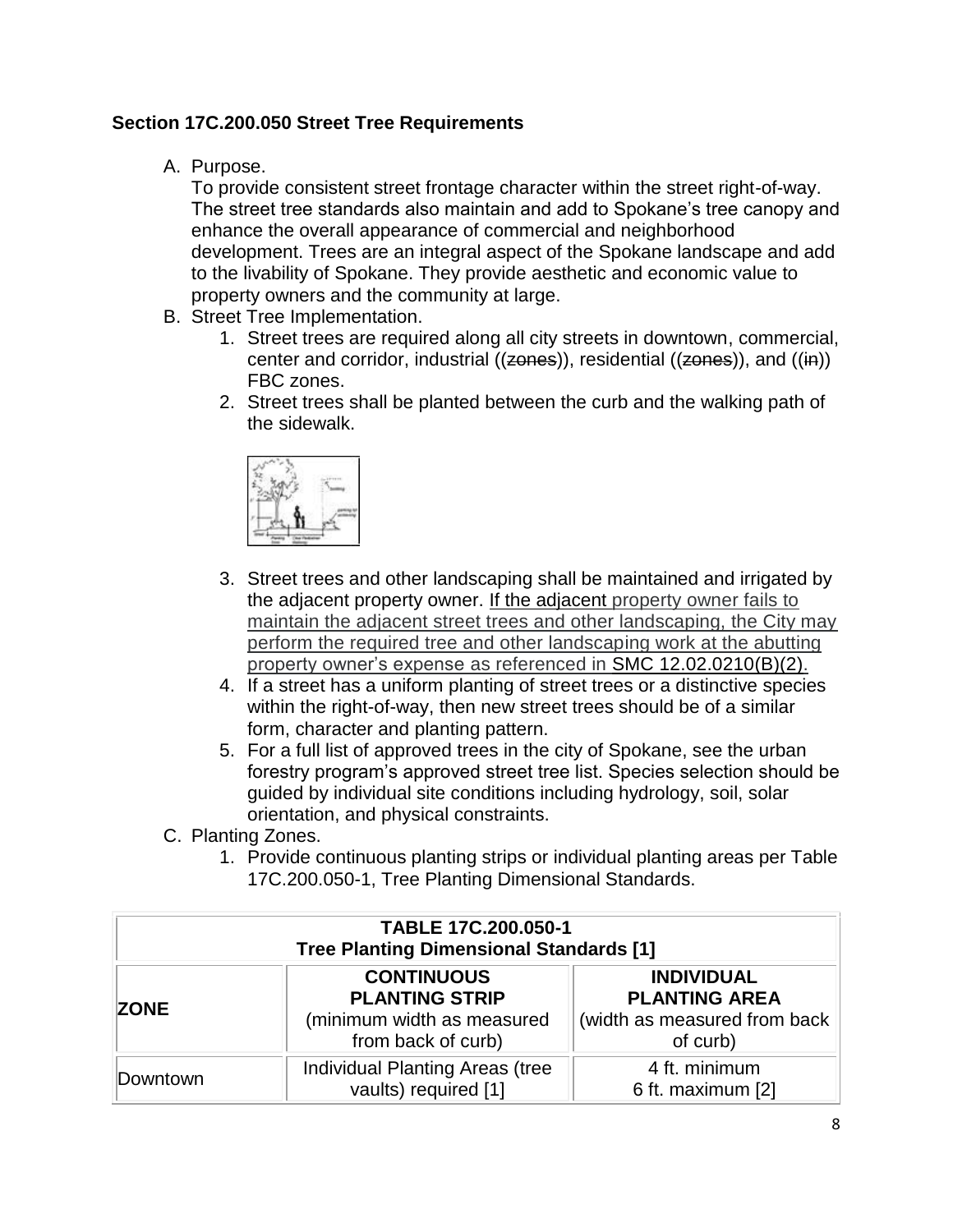### **Section 17C.200.050 Street Tree Requirements**

A. Purpose.

To provide consistent street frontage character within the street right-of-way. The street tree standards also maintain and add to Spokane's tree canopy and enhance the overall appearance of commercial and neighborhood development. Trees are an integral aspect of the Spokane landscape and add to the livability of Spokane. They provide aesthetic and economic value to property owners and the community at large.

- B. Street Tree Implementation.
	- 1. Street trees are required along all city streets in downtown, commercial, center and corridor, industrial (( $zones$ )), residential ( $(zones$ )), and ( $(ih)$ ) FBC zones.
	- 2. Street trees shall be planted between the curb and the walking path of the sidewalk.



- 3. Street trees and other landscaping shall be maintained and irrigated by the adjacent property owner. If the adjacent property owner fails to maintain the adjacent street trees and other landscaping, the City may perform the required tree and other landscaping work at the abutting property owner's expense as referenced in SMC 12.02.0210(B)(2).
- 4. If a street has a uniform planting of street trees or a distinctive species within the right-of-way, then new street trees should be of a similar form, character and planting pattern.
- 5. For a full list of approved trees in the city of Spokane, see the urban forestry program's approved street tree list. Species selection should be guided by individual site conditions including hydrology, soil, solar orientation, and physical constraints.
- C. Planting Zones.
	- 1. Provide continuous planting strips or individual planting areas per Table 17C.200.050-1, Tree Planting Dimensional Standards.

| TABLE 17C.200.050-1<br><b>Tree Planting Dimensional Standards [1]</b> |                                                                                                |                                                                                        |  |  |  |  |  |
|-----------------------------------------------------------------------|------------------------------------------------------------------------------------------------|----------------------------------------------------------------------------------------|--|--|--|--|--|
| <b>ZONE</b>                                                           | <b>CONTINUOUS</b><br><b>PLANTING STRIP</b><br>(minimum width as measured<br>from back of curb) | <b>INDIVIDUAL</b><br><b>PLANTING AREA</b><br>(width as measured from back)<br>of curb) |  |  |  |  |  |
| Downtown                                                              | Individual Planting Areas (tree<br>vaults) required [1]                                        | 4 ft. minimum<br>6 ft. maximum [2]                                                     |  |  |  |  |  |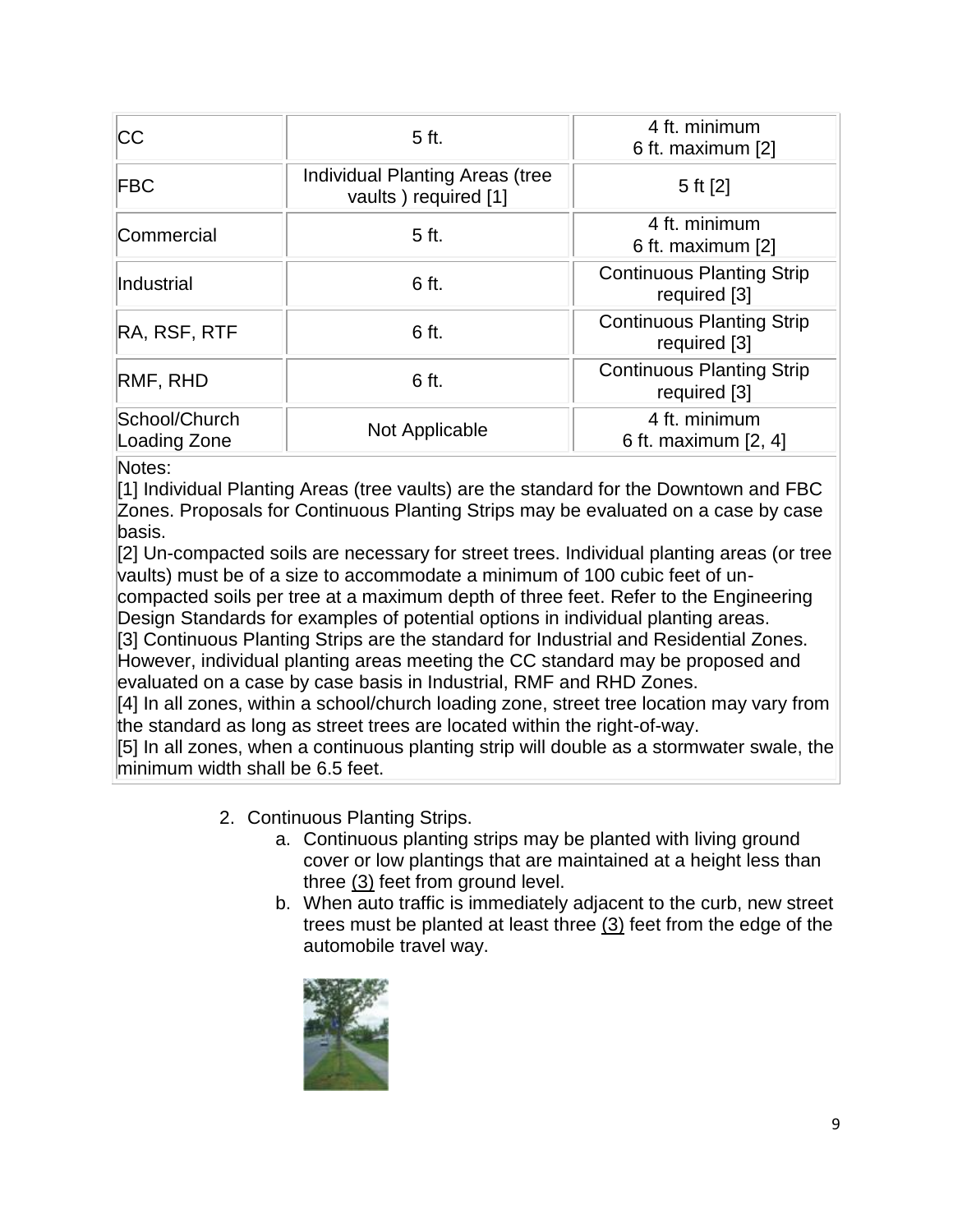| <b>CC</b>                     | 5 ft.                                                   | 4 ft. minimum<br>6 ft. maximum [2]               |
|-------------------------------|---------------------------------------------------------|--------------------------------------------------|
| <b>FBC</b>                    | Individual Planting Areas (tree<br>vaults) required [1] | 5 ft $[2]$                                       |
| Commercial                    | 5 ft.                                                   | 4 ft. minimum<br>6 ft. maximum [2]               |
| Industrial                    | 6 ft.                                                   | <b>Continuous Planting Strip</b><br>required [3] |
| RA, RSF, RTF                  | 6 ft.                                                   | <b>Continuous Planting Strip</b><br>required [3] |
| RMF, RHD                      | 6 ft.                                                   | <b>Continuous Planting Strip</b><br>required [3] |
| School/Church<br>Loading Zone | Not Applicable                                          | 4 ft. minimum<br>6 ft. maximum [2, 4]            |

Notes:

[1] Individual Planting Areas (tree vaults) are the standard for the Downtown and FBC Zones. Proposals for Continuous Planting Strips may be evaluated on a case by case basis.

[2] Un-compacted soils are necessary for street trees. Individual planting areas (or tree vaults) must be of a size to accommodate a minimum of 100 cubic feet of un-

compacted soils per tree at a maximum depth of three feet. Refer to the Engineering Design Standards for examples of potential options in individual planting areas.

[3] Continuous Planting Strips are the standard for Industrial and Residential Zones. However, individual planting areas meeting the CC standard may be proposed and evaluated on a case by case basis in Industrial, RMF and RHD Zones.

[4] In all zones, within a school/church loading zone, street tree location may vary from the standard as long as street trees are located within the right-of-way.

[5] In all zones, when a continuous planting strip will double as a stormwater swale, the minimum width shall be 6.5 feet.

- 2. Continuous Planting Strips.
	- a. Continuous planting strips may be planted with living ground cover or low plantings that are maintained at a height less than three (3) feet from ground level.
	- b. When auto traffic is immediately adjacent to the curb, new street trees must be planted at least three (3) feet from the edge of the automobile travel way.

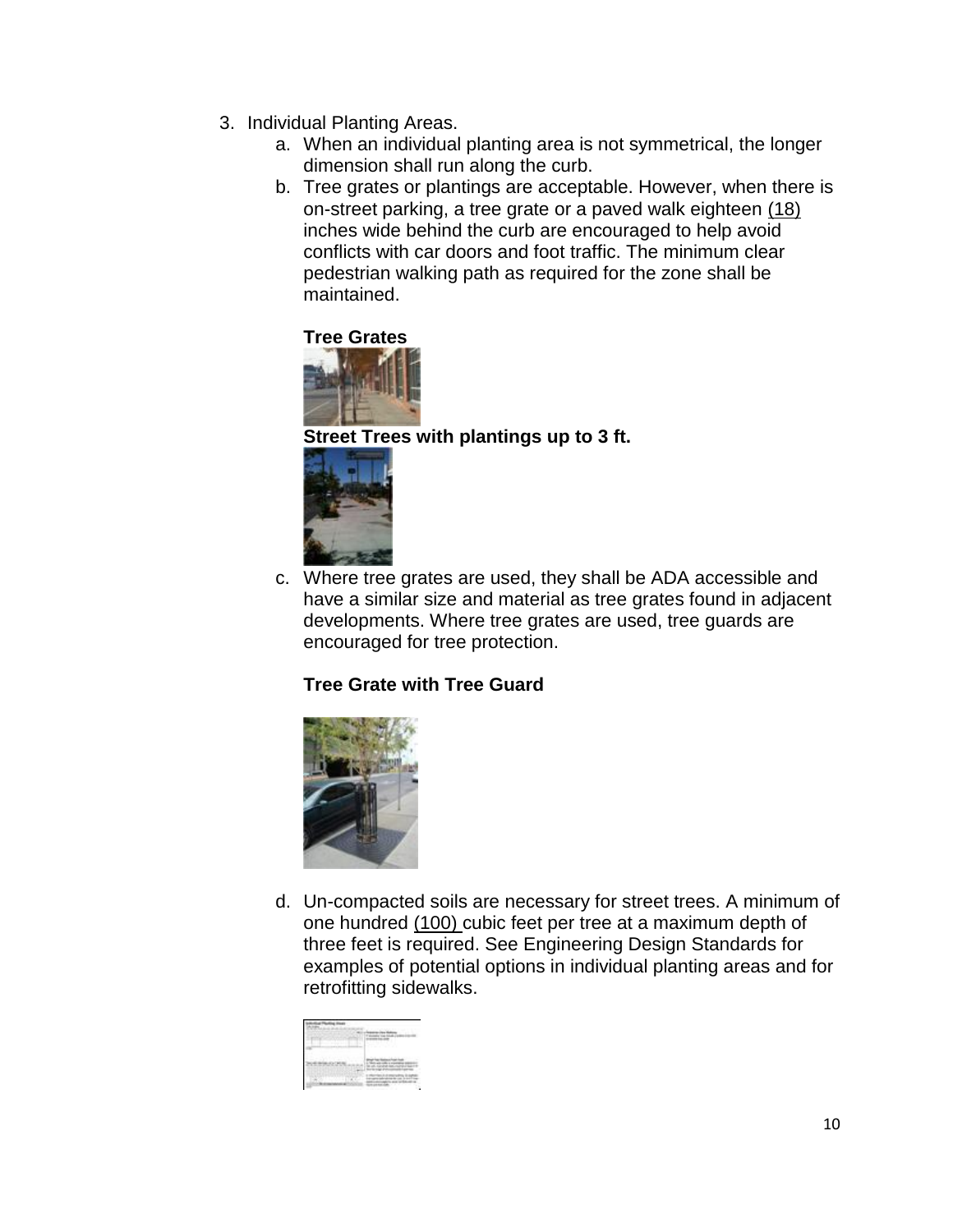- 3. Individual Planting Areas.
	- a. When an individual planting area is not symmetrical, the longer dimension shall run along the curb.
	- b. Tree grates or plantings are acceptable. However, when there is on-street parking, a tree grate or a paved walk eighteen (18) inches wide behind the curb are encouraged to help avoid conflicts with car doors and foot traffic. The minimum clear pedestrian walking path as required for the zone shall be maintained.

### **Tree Grates**



#### **Street Trees with plantings up to 3 ft.**



c. Where tree grates are used, they shall be ADA accessible and have a similar size and material as tree grates found in adjacent developments. Where tree grates are used, tree guards are encouraged for tree protection.

#### **Tree Grate with Tree Guard**



d. Un-compacted soils are necessary for street trees. A minimum of one hundred (100) cubic feet per tree at a maximum depth of three feet is required. See Engineering Design Standards for examples of potential options in individual planting areas and for retrofitting sidewalks.

|        | ł |    |
|--------|---|----|
|        |   | 16 |
| ٠<br>٠ |   |    |
|        |   |    |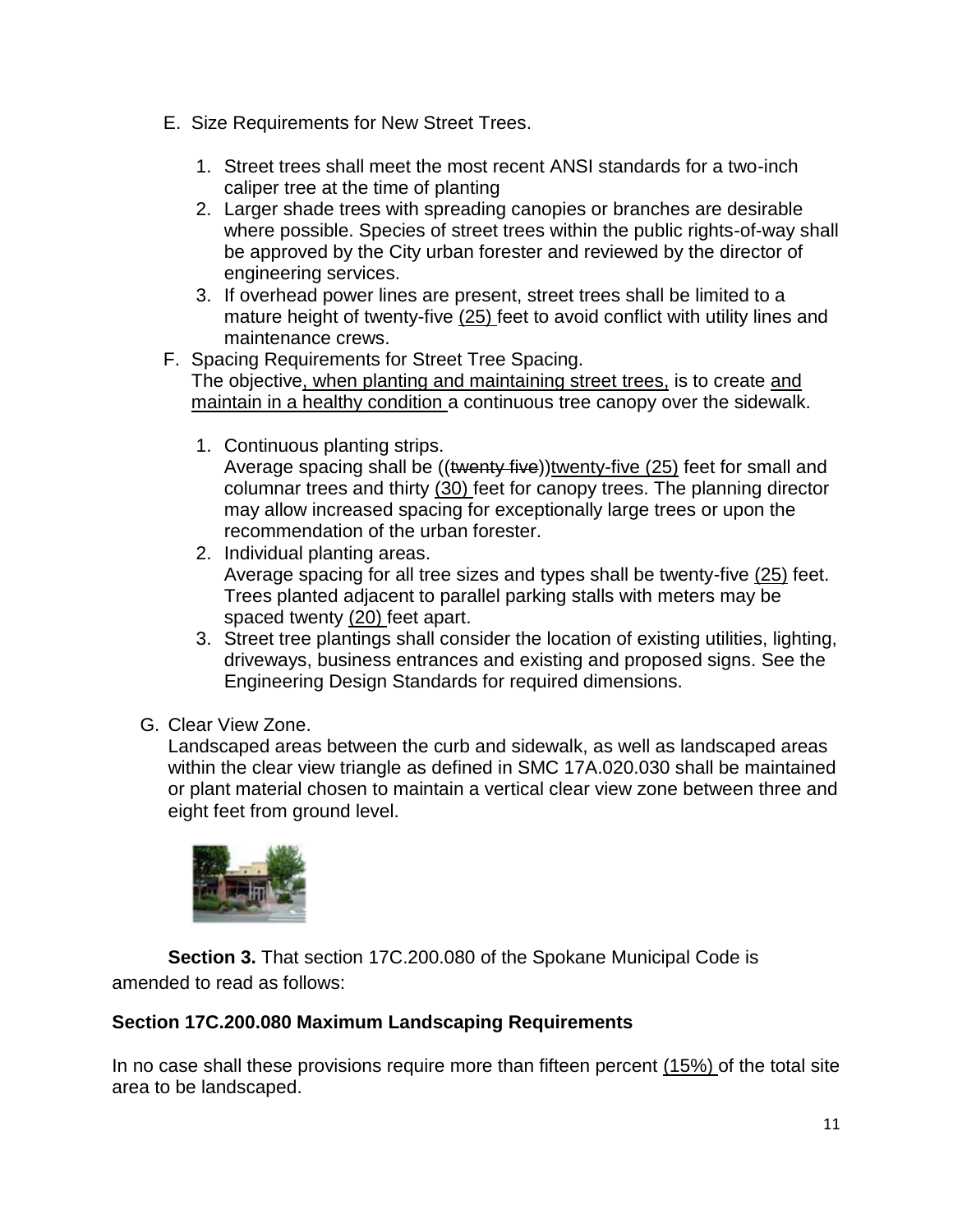- E. Size Requirements for New Street Trees.
	- 1. Street trees shall meet the most recent ANSI standards for a two-inch caliper tree at the time of planting
	- 2. Larger shade trees with spreading canopies or branches are desirable where possible. Species of street trees within the public rights-of-way shall be approved by the City urban forester and reviewed by the director of engineering services.
	- 3. If overhead power lines are present, street trees shall be limited to a mature height of twenty-five (25) feet to avoid conflict with utility lines and maintenance crews.
- F. Spacing Requirements for Street Tree Spacing. The objective, when planting and maintaining street trees, is to create and maintain in a healthy condition a continuous tree canopy over the sidewalk.
	- 1. Continuous planting strips.

Average spacing shall be ((twenty five))twenty-five (25) feet for small and columnar trees and thirty (30) feet for canopy trees. The planning director may allow increased spacing for exceptionally large trees or upon the recommendation of the urban forester.

- 2. Individual planting areas. Average spacing for all tree sizes and types shall be twenty-five (25) feet. Trees planted adjacent to parallel parking stalls with meters may be spaced twenty (20) feet apart.
- 3. Street tree plantings shall consider the location of existing utilities, lighting, driveways, business entrances and existing and proposed signs. See the Engineering Design Standards for required dimensions.
- G. Clear View Zone.

Landscaped areas between the curb and sidewalk, as well as landscaped areas within the clear view triangle as defined in SMC 17A.020.030 shall be maintained or plant material chosen to maintain a vertical clear view zone between three and eight feet from ground level.



**Section 3.** That section 17C.200.080 of the Spokane Municipal Code is amended to read as follows:

#### **Section 17C.200.080 Maximum Landscaping Requirements**

In no case shall these provisions require more than fifteen percent (15%) of the total site area to be landscaped.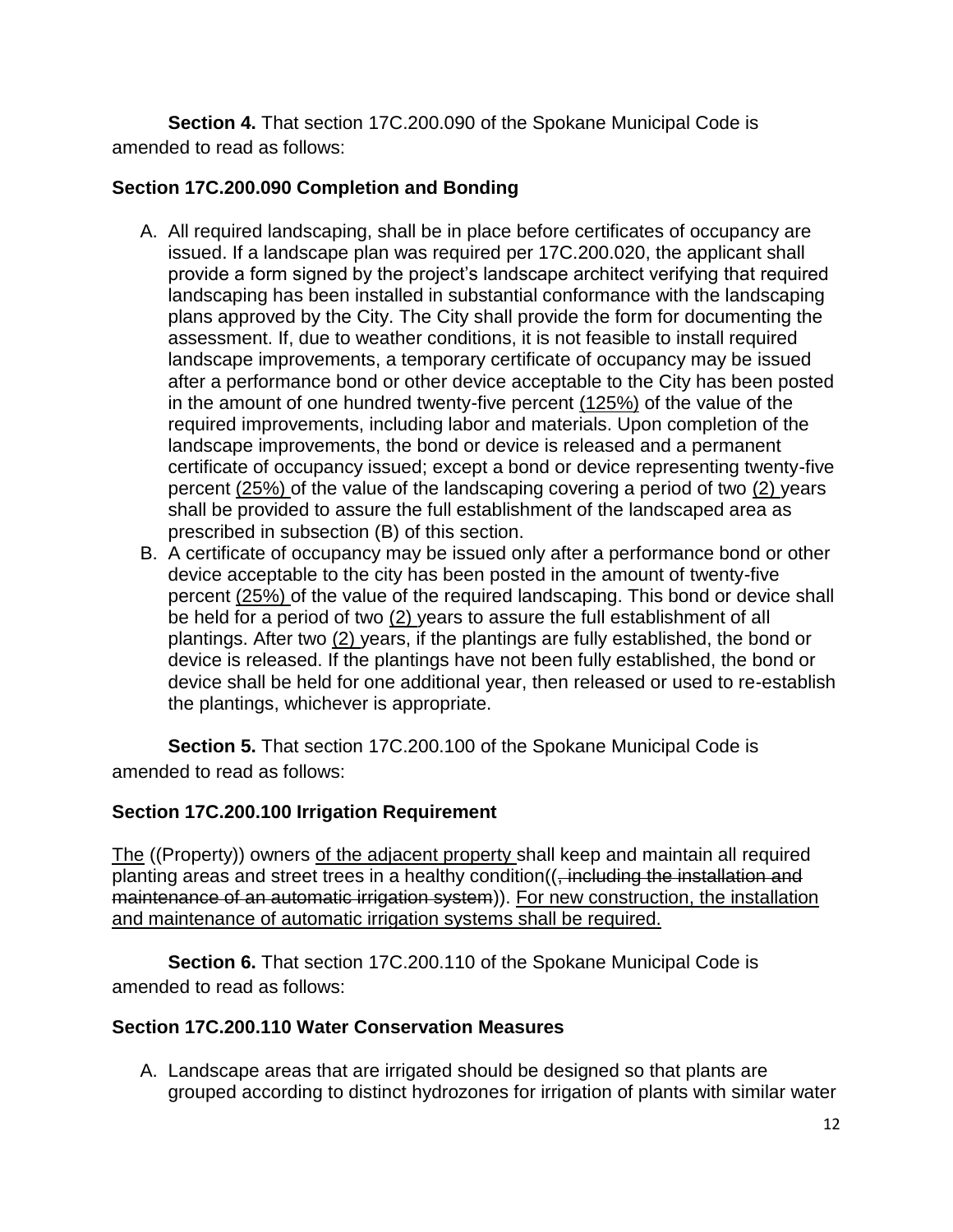**Section 4.** That section 17C.200.090 of the Spokane Municipal Code is amended to read as follows:

### **Section 17C.200.090 Completion and Bonding**

- A. All required landscaping, shall be in place before certificates of occupancy are issued. If a landscape plan was required per 17C.200.020, the applicant shall provide a form signed by the project's landscape architect verifying that required landscaping has been installed in substantial conformance with the landscaping plans approved by the City. The City shall provide the form for documenting the assessment. If, due to weather conditions, it is not feasible to install required landscape improvements, a temporary certificate of occupancy may be issued after a performance bond or other device acceptable to the City has been posted in the amount of one hundred twenty-five percent (125%) of the value of the required improvements, including labor and materials. Upon completion of the landscape improvements, the bond or device is released and a permanent certificate of occupancy issued; except a bond or device representing twenty-five percent (25%) of the value of the landscaping covering a period of two (2) years shall be provided to assure the full establishment of the landscaped area as prescribed in subsection (B) of this section.
- B. A certificate of occupancy may be issued only after a performance bond or other device acceptable to the city has been posted in the amount of twenty-five percent (25%) of the value of the required landscaping. This bond or device shall be held for a period of two (2) years to assure the full establishment of all plantings. After two (2) years, if the plantings are fully established, the bond or device is released. If the plantings have not been fully established, the bond or device shall be held for one additional year, then released or used to re-establish the plantings, whichever is appropriate.

**Section 5.** That section 17C.200.100 of the Spokane Municipal Code is amended to read as follows:

#### **Section 17C.200.100 Irrigation Requirement**

The ((Property)) owners of the adjacent property shall keep and maintain all required planting areas and street trees in a healthy condition((, including the installation and maintenance of an automatic irrigation system)). For new construction, the installation and maintenance of automatic irrigation systems shall be required.

**Section 6.** That section 17C.200.110 of the Spokane Municipal Code is amended to read as follows:

#### **Section 17C.200.110 Water Conservation Measures**

A. Landscape areas that are irrigated should be designed so that plants are grouped according to distinct hydrozones for irrigation of plants with similar water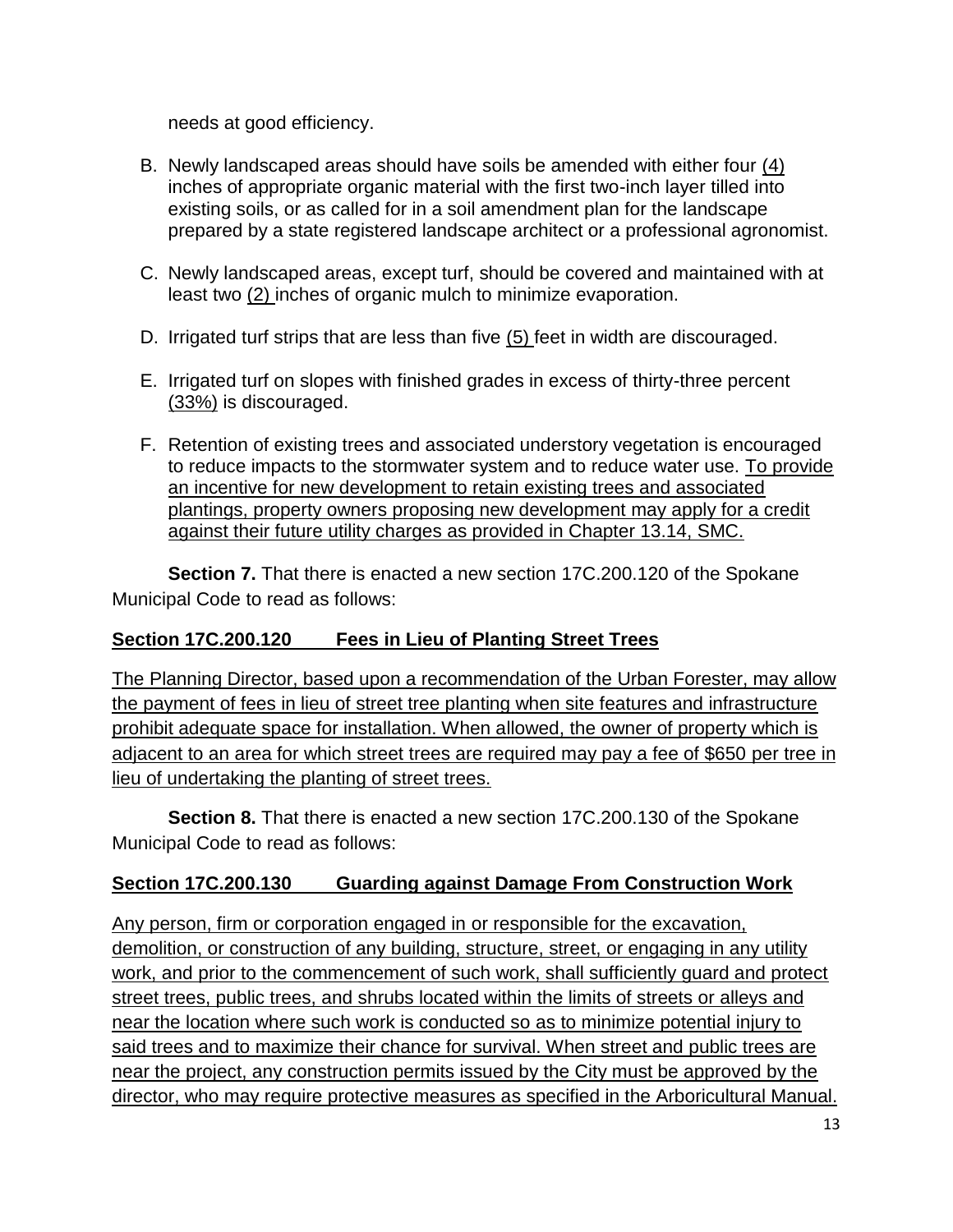needs at good efficiency.

- B. Newly landscaped areas should have soils be amended with either four (4) inches of appropriate organic material with the first two-inch layer tilled into existing soils, or as called for in a soil amendment plan for the landscape prepared by a state registered landscape architect or a professional agronomist.
- C. Newly landscaped areas, except turf, should be covered and maintained with at least two (2) inches of organic mulch to minimize evaporation.
- D. Irrigated turf strips that are less than five (5) feet in width are discouraged.
- E. Irrigated turf on slopes with finished grades in excess of thirty-three percent (33%) is discouraged.
- F. Retention of existing trees and associated understory vegetation is encouraged to reduce impacts to the stormwater system and to reduce water use. To provide an incentive for new development to retain existing trees and associated plantings, property owners proposing new development may apply for a credit against their future utility charges as provided in Chapter 13.14, SMC.

**Section 7.** That there is enacted a new section 17C.200.120 of the Spokane Municipal Code to read as follows:

#### **Section 17C.200.120 Fees in Lieu of Planting Street Trees**

The Planning Director, based upon a recommendation of the Urban Forester, may allow the payment of fees in lieu of street tree planting when site features and infrastructure prohibit adequate space for installation. When allowed, the owner of property which is adjacent to an area for which street trees are required may pay a fee of \$650 per tree in lieu of undertaking the planting of street trees.

**Section 8.** That there is enacted a new section 17C.200.130 of the Spokane Municipal Code to read as follows:

#### **Section 17C.200.130 Guarding against Damage From Construction Work**

Any person, firm or corporation engaged in or responsible for the excavation, demolition, or construction of any building, structure, street, or engaging in any utility work, and prior to the commencement of such work, shall sufficiently guard and protect street trees, public trees, and shrubs located within the limits of streets or alleys and near the location where such work is conducted so as to minimize potential injury to said trees and to maximize their chance for survival. When street and public trees are near the project, any construction permits issued by the City must be approved by the director, who may require protective measures as specified in the Arboricultural Manual.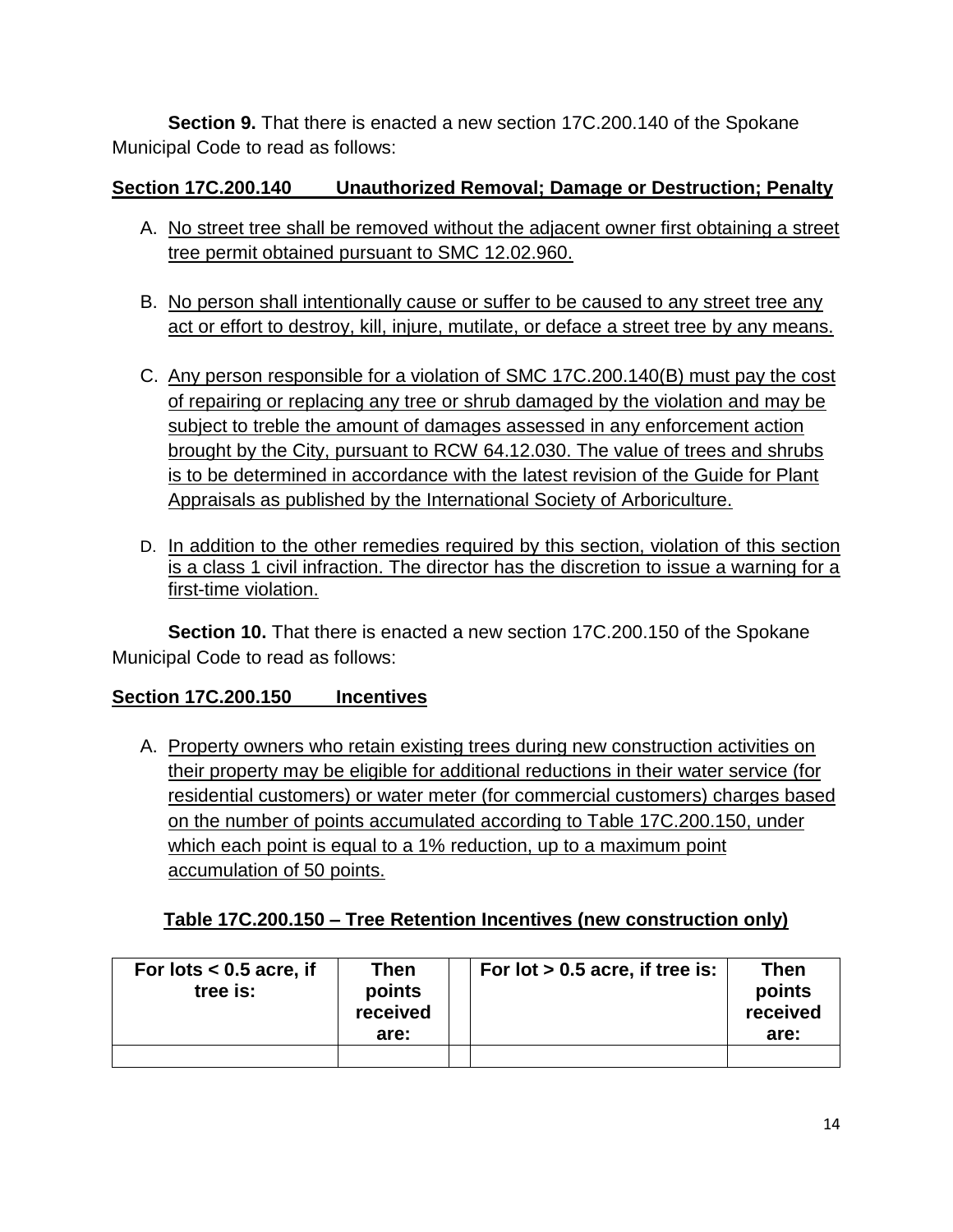**Section 9.** That there is enacted a new section 17C.200.140 of the Spokane Municipal Code to read as follows:

## **Section 17C.200.140 Unauthorized Removal; Damage or Destruction; Penalty**

- A. No street tree shall be removed without the adjacent owner first obtaining a street tree permit obtained pursuant to SMC 12.02.960.
- B. No person shall intentionally cause or suffer to be caused to any street tree any act or effort to destroy, kill, injure, mutilate, or deface a street tree by any means.
- C. Any person responsible for a violation of SMC 17C.200.140(B) must pay the cost of repairing or replacing any tree or shrub damaged by the violation and may be subject to treble the amount of damages assessed in any enforcement action brought by the City, pursuant to RCW 64.12.030. The value of trees and shrubs is to be determined in accordance with the latest revision of the Guide for Plant Appraisals as published by the International Society of Arboriculture.
- D. In addition to the other remedies required by this section, violation of this section is a class 1 civil infraction. The director has the discretion to issue a warning for a first-time violation.

**Section 10.** That there is enacted a new section 17C.200.150 of the Spokane Municipal Code to read as follows:

### **Section 17C.200.150 Incentives**

A. Property owners who retain existing trees during new construction activities on their property may be eligible for additional reductions in their water service (for residential customers) or water meter (for commercial customers) charges based on the number of points accumulated according to Table 17C.200.150, under which each point is equal to a 1% reduction, up to a maximum point accumulation of 50 points.

# **Table 17C.200.150 – Tree Retention Incentives (new construction only)**

| For lots $< 0.5$ acre, if<br>tree is: | Then<br>points<br>received<br>are: | For lot $> 0.5$ acre, if tree is: | Then<br>points<br>received<br>are: |
|---------------------------------------|------------------------------------|-----------------------------------|------------------------------------|
|                                       |                                    |                                   |                                    |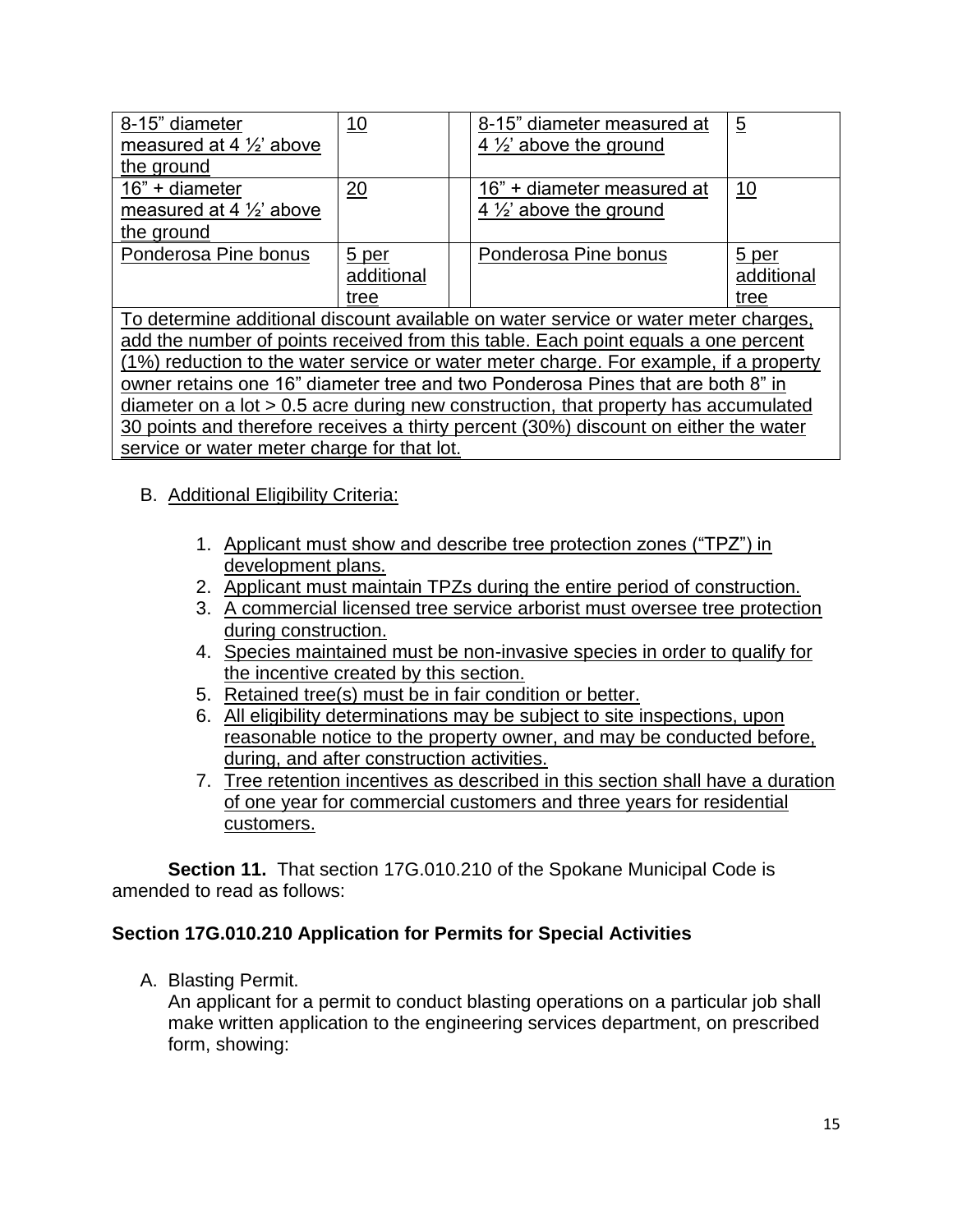| 8-15" diameter<br>measured at 4 $\frac{1}{2}$ above<br>the ground                                                                                                                                                                                                                                                                                                                                                                                                                                                                      | 10                          |  | 8-15" diameter measured at<br>4 $\frac{1}{2}$ above the ground | $\overline{5}$              |  |  |
|----------------------------------------------------------------------------------------------------------------------------------------------------------------------------------------------------------------------------------------------------------------------------------------------------------------------------------------------------------------------------------------------------------------------------------------------------------------------------------------------------------------------------------------|-----------------------------|--|----------------------------------------------------------------|-----------------------------|--|--|
| 16" + diameter<br>measured at 4 $\frac{1}{2}$ above<br>the ground                                                                                                                                                                                                                                                                                                                                                                                                                                                                      | 20                          |  | 16" + diameter measured at<br>4 $\frac{1}{2}$ above the ground | <u>10</u>                   |  |  |
| Ponderosa Pine bonus                                                                                                                                                                                                                                                                                                                                                                                                                                                                                                                   | 5 per<br>additional<br>tree |  | Ponderosa Pine bonus                                           | 5 per<br>additional<br>tree |  |  |
| To determine additional discount available on water service or water meter charges,<br>add the number of points received from this table. Each point equals a one percent<br>(1%) reduction to the water service or water meter charge. For example, if a property<br>owner retains one 16" diameter tree and two Ponderosa Pines that are both 8" in<br>diameter on a lot $> 0.5$ acre during new construction, that property has accumulated<br>30 points and therefore receives a thirty percent (30%) discount on either the water |                             |  |                                                                |                             |  |  |
| service or water meter charge for that lot.                                                                                                                                                                                                                                                                                                                                                                                                                                                                                            |                             |  |                                                                |                             |  |  |

#### B. Additional Eligibility Criteria:

- 1. Applicant must show and describe tree protection zones ("TPZ") in development plans.
- 2. Applicant must maintain TPZs during the entire period of construction.
- 3. A commercial licensed tree service arborist must oversee tree protection during construction.
- 4. Species maintained must be non-invasive species in order to qualify for the incentive created by this section.
- 5. Retained tree(s) must be in fair condition or better.
- 6. All eligibility determinations may be subject to site inspections, upon reasonable notice to the property owner, and may be conducted before, during, and after construction activities.
- 7. Tree retention incentives as described in this section shall have a duration of one year for commercial customers and three years for residential customers.

**Section 11.** That section 17G.010.210 of the Spokane Municipal Code is amended to read as follows:

#### **Section 17G.010.210 Application for Permits for Special Activities**

A. Blasting Permit.

An applicant for a permit to conduct blasting operations on a particular job shall make written application to the engineering services department, on prescribed form, showing: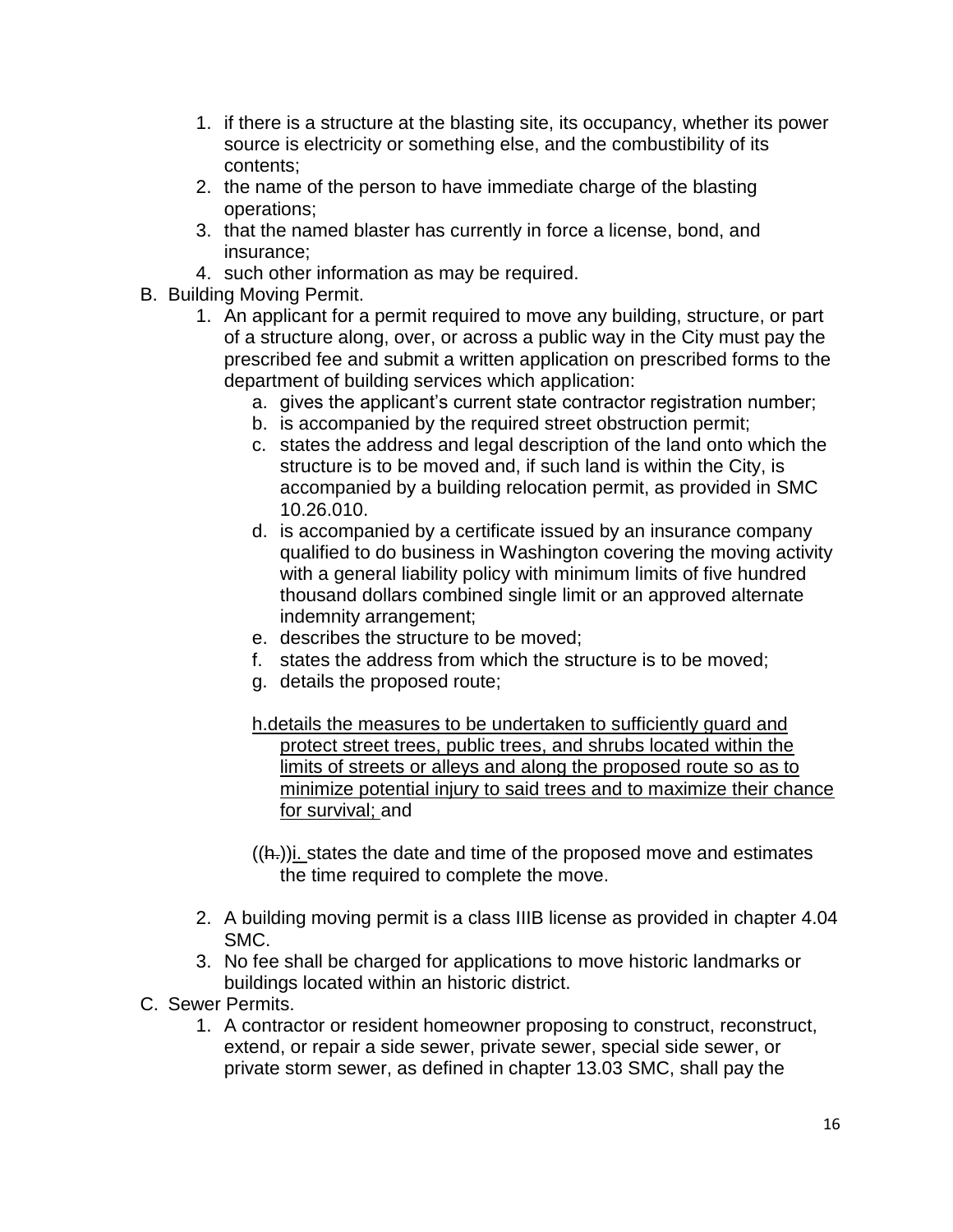- 1. if there is a structure at the blasting site, its occupancy, whether its power source is electricity or something else, and the combustibility of its contents;
- 2. the name of the person to have immediate charge of the blasting operations;
- 3. that the named blaster has currently in force a license, bond, and insurance;
- 4. such other information as may be required.
- B. Building Moving Permit.
	- 1. An applicant for a permit required to move any building, structure, or part of a structure along, over, or across a public way in the City must pay the prescribed fee and submit a written application on prescribed forms to the department of building services which application:
		- a. gives the applicant's current state contractor registration number;
		- b. is accompanied by the required street obstruction permit;
		- c. states the address and legal description of the land onto which the structure is to be moved and, if such land is within the City, is accompanied by a building relocation permit, as provided in SMC 10.26.010.
		- d. is accompanied by a certificate issued by an insurance company qualified to do business in Washington covering the moving activity with a general liability policy with minimum limits of five hundred thousand dollars combined single limit or an approved alternate indemnity arrangement;
		- e. describes the structure to be moved;
		- f. states the address from which the structure is to be moved;
		- g. details the proposed route;
		- h.details the measures to be undertaken to sufficiently guard and protect street trees, public trees, and shrubs located within the limits of streets or alleys and along the proposed route so as to minimize potential injury to said trees and to maximize their chance for survival; and
		- $((h))$ i. states the date and time of the proposed move and estimates the time required to complete the move.
	- 2. A building moving permit is a class IIIB license as provided in chapter 4.04 SMC.
	- 3. No fee shall be charged for applications to move historic landmarks or buildings located within an historic district.
- C. Sewer Permits.
	- 1. A contractor or resident homeowner proposing to construct, reconstruct, extend, or repair a side sewer, private sewer, special side sewer, or private storm sewer, as defined in chapter 13.03 SMC, shall pay the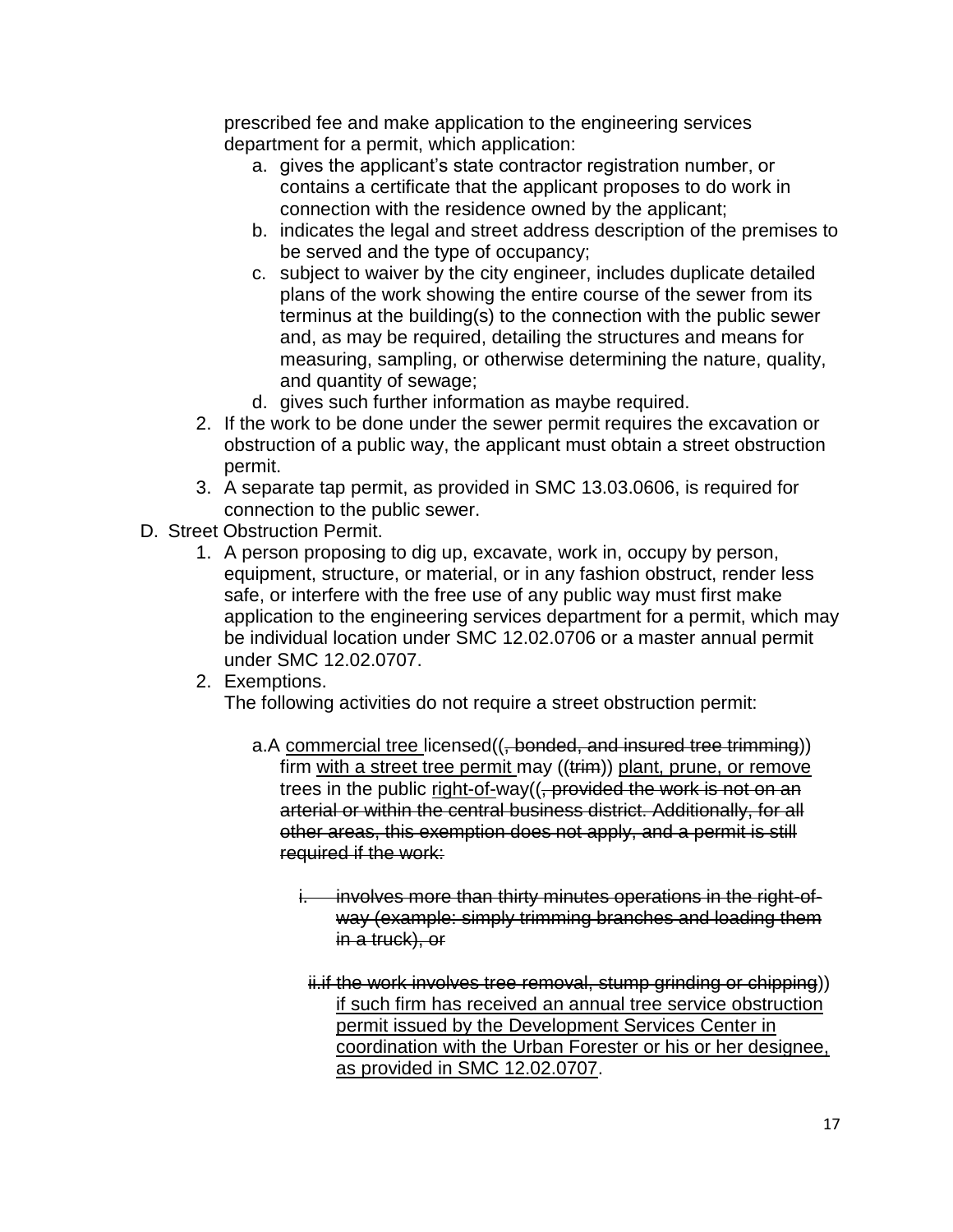prescribed fee and make application to the engineering services department for a permit, which application:

- a. gives the applicant's state contractor registration number, or contains a certificate that the applicant proposes to do work in connection with the residence owned by the applicant;
- b. indicates the legal and street address description of the premises to be served and the type of occupancy;
- c. subject to waiver by the city engineer, includes duplicate detailed plans of the work showing the entire course of the sewer from its terminus at the building(s) to the connection with the public sewer and, as may be required, detailing the structures and means for measuring, sampling, or otherwise determining the nature, quality, and quantity of sewage;
- d. gives such further information as maybe required.
- 2. If the work to be done under the sewer permit requires the excavation or obstruction of a public way, the applicant must obtain a street obstruction permit.
- 3. A separate tap permit, as provided in SMC 13.03.0606, is required for connection to the public sewer.
- D. Street Obstruction Permit.
	- 1. A person proposing to dig up, excavate, work in, occupy by person, equipment, structure, or material, or in any fashion obstruct, render less safe, or interfere with the free use of any public way must first make application to the engineering services department for a permit, which may be individual location under SMC 12.02.0706 or a master annual permit under SMC 12.02.0707.
	- 2. Exemptions.

The following activities do not require a street obstruction permit:

- a.A commercial tree licensed((, bonded, and insured tree trimming)) firm with a street tree permit may ((trim)) plant, prune, or remove trees in the public right-of-way((, provided the work is not on an arterial or within the central business district. Additionally, for all other areas, this exemption does not apply, and a permit is still required if the work:
	- i. involves more than thirty minutes operations in the right-ofway (example: simply trimming branches and loading them in a truck), or
	- ii.if the work involves tree removal, stump grinding or chipping)) if such firm has received an annual tree service obstruction permit issued by the Development Services Center in coordination with the Urban Forester or his or her designee, as provided in SMC 12.02.0707.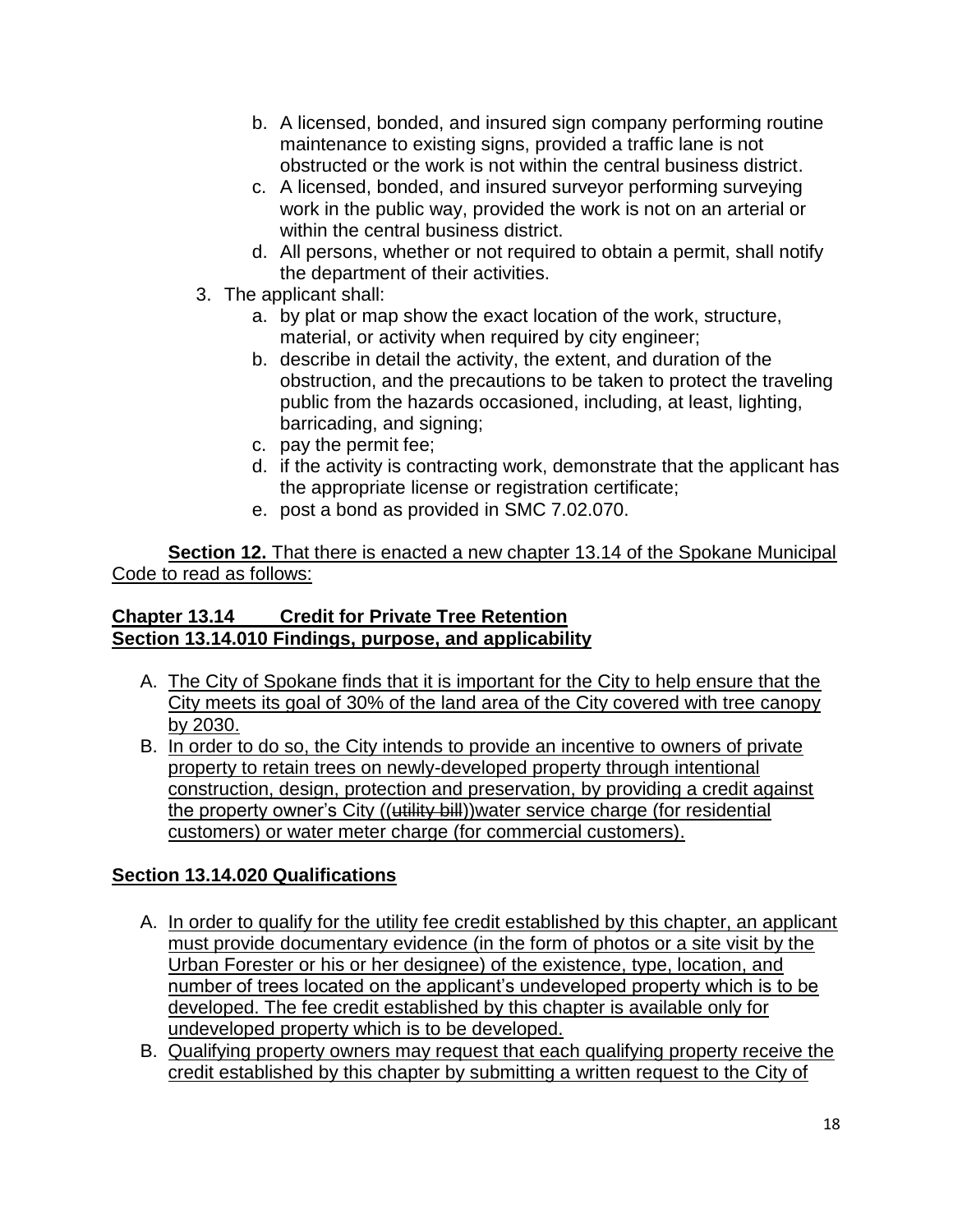- b. A licensed, bonded, and insured sign company performing routine maintenance to existing signs, provided a traffic lane is not obstructed or the work is not within the central business district.
- c. A licensed, bonded, and insured surveyor performing surveying work in the public way, provided the work is not on an arterial or within the central business district.
- d. All persons, whether or not required to obtain a permit, shall notify the department of their activities.
- 3. The applicant shall:
	- a. by plat or map show the exact location of the work, structure, material, or activity when required by city engineer;
	- b. describe in detail the activity, the extent, and duration of the obstruction, and the precautions to be taken to protect the traveling public from the hazards occasioned, including, at least, lighting, barricading, and signing;
	- c. pay the permit fee;
	- d. if the activity is contracting work, demonstrate that the applicant has the appropriate license or registration certificate;
	- e. post a bond as provided in SMC 7.02.070.

**Section 12.** That there is enacted a new chapter 13.14 of the Spokane Municipal Code to read as follows:

# **Chapter 13.14 Credit for Private Tree Retention Section 13.14.010 Findings, purpose, and applicability**

- A. The City of Spokane finds that it is important for the City to help ensure that the City meets its goal of 30% of the land area of the City covered with tree canopy by 2030.
- B. In order to do so, the City intends to provide an incentive to owners of private property to retain trees on newly-developed property through intentional construction, design, protection and preservation, by providing a credit against the property owner's City ((utility bill))water service charge (for residential customers) or water meter charge (for commercial customers).

# **Section 13.14.020 Qualifications**

- A. In order to qualify for the utility fee credit established by this chapter, an applicant must provide documentary evidence (in the form of photos or a site visit by the Urban Forester or his or her designee) of the existence, type, location, and number of trees located on the applicant's undeveloped property which is to be developed. The fee credit established by this chapter is available only for undeveloped property which is to be developed.
- B. Qualifying property owners may request that each qualifying property receive the credit established by this chapter by submitting a written request to the City of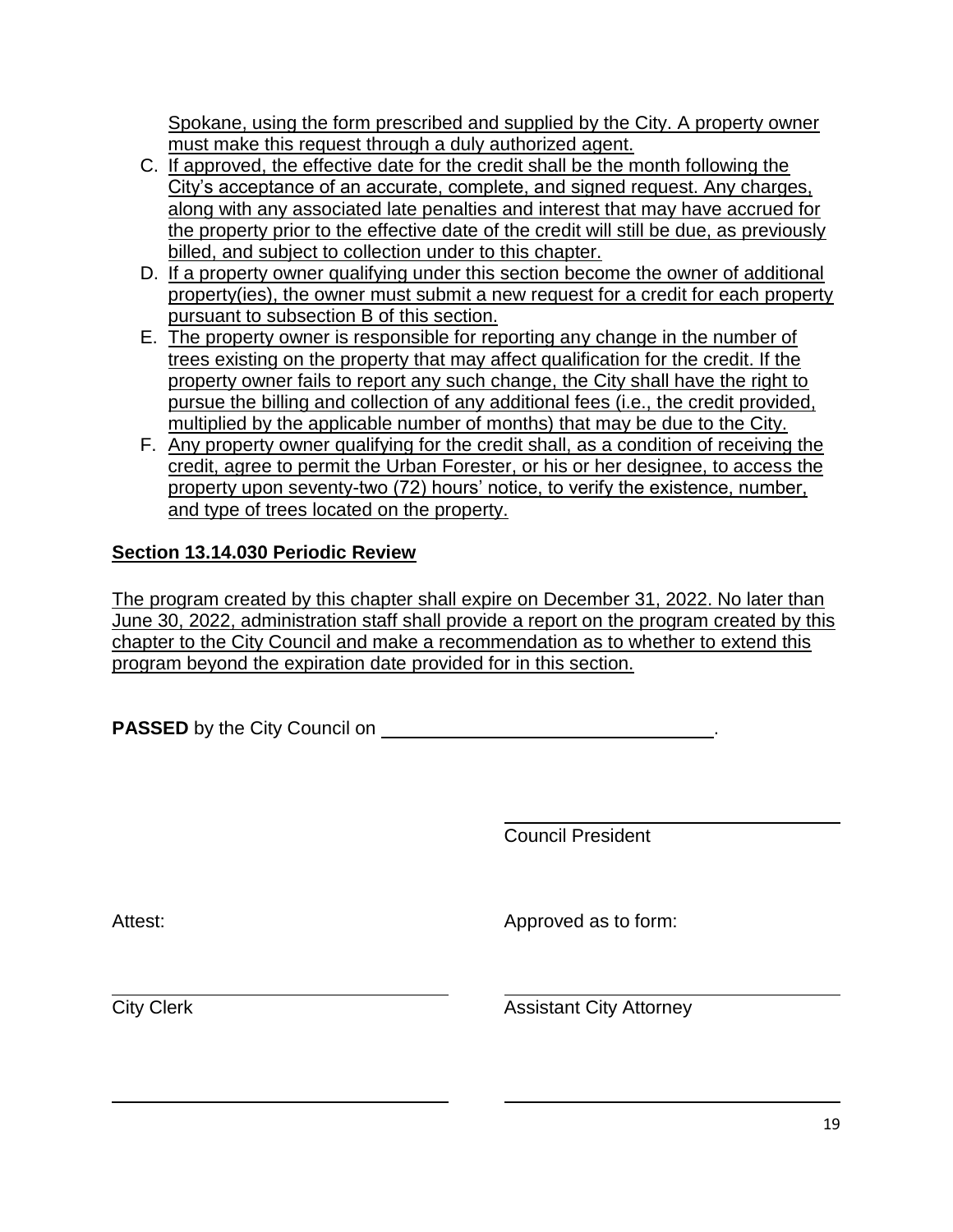Spokane, using the form prescribed and supplied by the City. A property owner must make this request through a duly authorized agent.

- C. If approved, the effective date for the credit shall be the month following the City's acceptance of an accurate, complete, and signed request. Any charges, along with any associated late penalties and interest that may have accrued for the property prior to the effective date of the credit will still be due, as previously billed, and subject to collection under to this chapter.
- D. If a property owner qualifying under this section become the owner of additional property(ies), the owner must submit a new request for a credit for each property pursuant to subsection B of this section.
- E. The property owner is responsible for reporting any change in the number of trees existing on the property that may affect qualification for the credit. If the property owner fails to report any such change, the City shall have the right to pursue the billing and collection of any additional fees (i.e., the credit provided, multiplied by the applicable number of months) that may be due to the City.
- F. Any property owner qualifying for the credit shall, as a condition of receiving the credit, agree to permit the Urban Forester, or his or her designee, to access the property upon seventy-two (72) hours' notice, to verify the existence, number, and type of trees located on the property.

# **Section 13.14.030 Periodic Review**

The program created by this chapter shall expire on December 31, 2022. No later than June 30, 2022, administration staff shall provide a report on the program created by this chapter to the City Council and make a recommendation as to whether to extend this program beyond the expiration date provided for in this section.

**PASSED** by the City Council on **DETERM PASSED** by the City Council on

Council President

Attest: Attest: Approved as to form:

**City Clerk City Attorney**